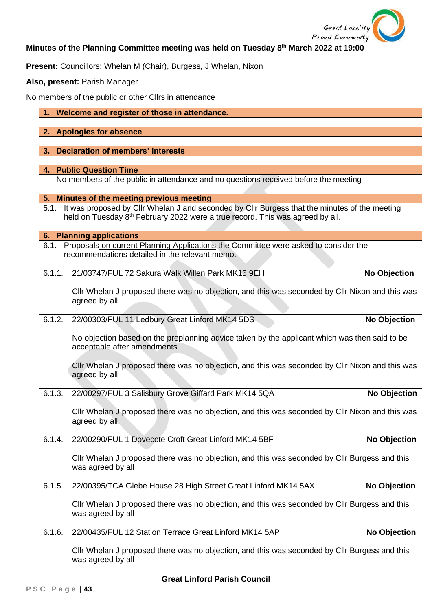

# **Minutes of the Planning Committee meeting was held on Tuesday 8 th March 2022 at 19:00**

**Present:** Councillors: Whelan M (Chair), Burgess, J Whelan, Nixon

**Also, present:** Parish Manager

No members of the public or other Cllrs in attendance

| 1. Welcome and register of those in attendance. |                                                                                                                                                                                                 |                     |
|-------------------------------------------------|-------------------------------------------------------------------------------------------------------------------------------------------------------------------------------------------------|---------------------|
|                                                 | 2. Apologies for absence                                                                                                                                                                        |                     |
|                                                 |                                                                                                                                                                                                 |                     |
| 3.                                              | <b>Declaration of members' interests</b>                                                                                                                                                        |                     |
|                                                 | <b>4. Public Question Time</b>                                                                                                                                                                  |                     |
|                                                 | No members of the public in attendance and no questions received before the meeting                                                                                                             |                     |
|                                                 | 5. Minutes of the meeting previous meeting                                                                                                                                                      |                     |
|                                                 | 5.1. It was proposed by Cllr Whelan J and seconded by Cllr Burgess that the minutes of the meeting<br>held on Tuesday 8 <sup>th</sup> February 2022 were a true record. This was agreed by all. |                     |
|                                                 | <b>6. Planning applications</b>                                                                                                                                                                 |                     |
| 6.1.                                            | Proposals on current Planning Applications the Committee were asked to consider the<br>recommendations detailed in the relevant memo.                                                           |                     |
| 6.1.1.                                          | 21/03747/FUL 72 Sakura Walk Willen Park MK15 9EH                                                                                                                                                | <b>No Objection</b> |
|                                                 | CIIr Whelan J proposed there was no objection, and this was seconded by CIIr Nixon and this was<br>agreed by all                                                                                |                     |
| 6.1.2.                                          | 22/00303/FUL 11 Ledbury Great Linford MK14 5DS                                                                                                                                                  | <b>No Objection</b> |
|                                                 | No objection based on the preplanning advice taken by the applicant which was then said to be<br>acceptable after amendments                                                                    |                     |
|                                                 | CIIr Whelan J proposed there was no objection, and this was seconded by CIIr Nixon and this was<br>agreed by all                                                                                |                     |
| 6.1.3.                                          | 22/00297/FUL 3 Salisbury Grove Giffard Park MK14 5QA                                                                                                                                            | <b>No Objection</b> |
|                                                 | CIIr Whelan J proposed there was no objection, and this was seconded by CIIr Nixon and this was<br>agreed by all                                                                                |                     |
| 6.1.4.                                          | 22/00290/FUL 1 Dovecote Croft Great Linford MK14 5BF                                                                                                                                            | <b>No Objection</b> |
|                                                 | CIIr Whelan J proposed there was no objection, and this was seconded by CIIr Burgess and this<br>was agreed by all                                                                              |                     |
| 6.1.5.                                          | 22/00395/TCA Glebe House 28 High Street Great Linford MK14 5AX                                                                                                                                  | <b>No Objection</b> |
|                                                 | CIIr Whelan J proposed there was no objection, and this was seconded by CIIr Burgess and this<br>was agreed by all                                                                              |                     |
| 6.1.6.                                          | 22/00435/FUL 12 Station Terrace Great Linford MK14 5AP                                                                                                                                          | <b>No Objection</b> |
|                                                 | CIIr Whelan J proposed there was no objection, and this was seconded by CIIr Burgess and this<br>was agreed by all                                                                              |                     |